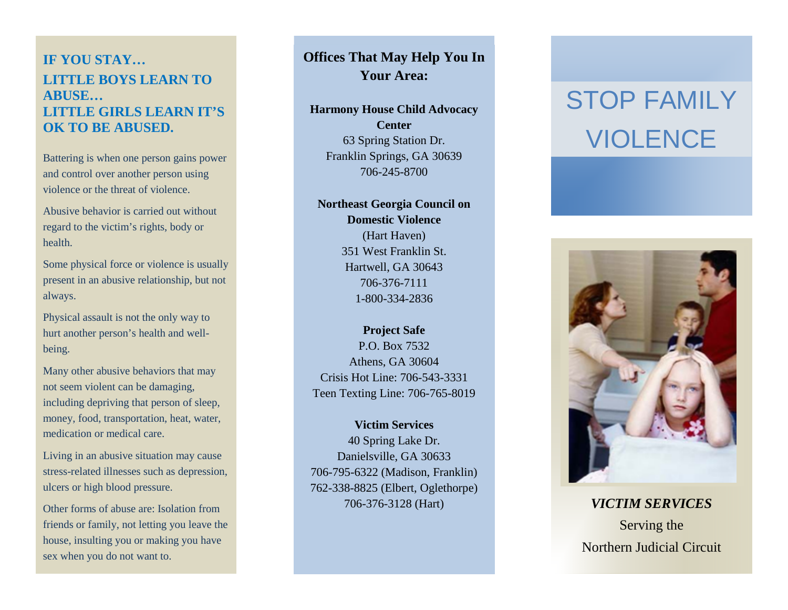## **IF YOU STAY… LITTLE BOYS LEARN TO ABUSE… LITTLE GIRLS LEARN IT'S OK TO BE ABUSED.**

Battering is when one person gains power and control over another person using violence or the threat of violence.

Abusive behavior is carried out without regard to the victim's rights, body or health.

Some physical force or violence is usually present in an abusive relationship, but not always.

Physical assault is not the only way to hurt another person's health and well being.

Many other abusive behaviors that may not seem violent can be damaging, including depriving that person of sleep, money, food, transportation, heat, water, medication or medical care.

Living in an abusive situation may cause stress -related illnesses such as depression, ulcers or high blood pressure.

Other forms of abuse are: Isolation from friends or family, not letting you leave the house, insulting you or making you have sex when you do not want to.

### **Offices That May Help You In Your Area:**

**Harmony House Child Advocacy Center**

> 63 Spring Station Dr. Franklin Springs, GA 30639 706 -245 -8700

**Northeast Georgia Council on Domestic Violence** (Hart Haven) 351 West Franklin St. Hartwell, GA 30643 706 -376 -7111 1 -800 -334 -2836

**Project Safe** P.O. Box 7532 Athens, GA 30604 Crisis Hot Line: 706 -543 -3331 Teen Texting Line: 706 -765 -8019

**Victim Services** 40 Spring Lake Dr. Danielsville, GA 30633 706 -795 -6322 (Madison, Franklin) 762 -338 -8825 (Elbert, Oglethorpe) 706 -376 -3128 (Hart)

# STOP FAMILY **VIOLENCE**



*VICTIM SERVICES* Serving the Northern Judicial Circuit